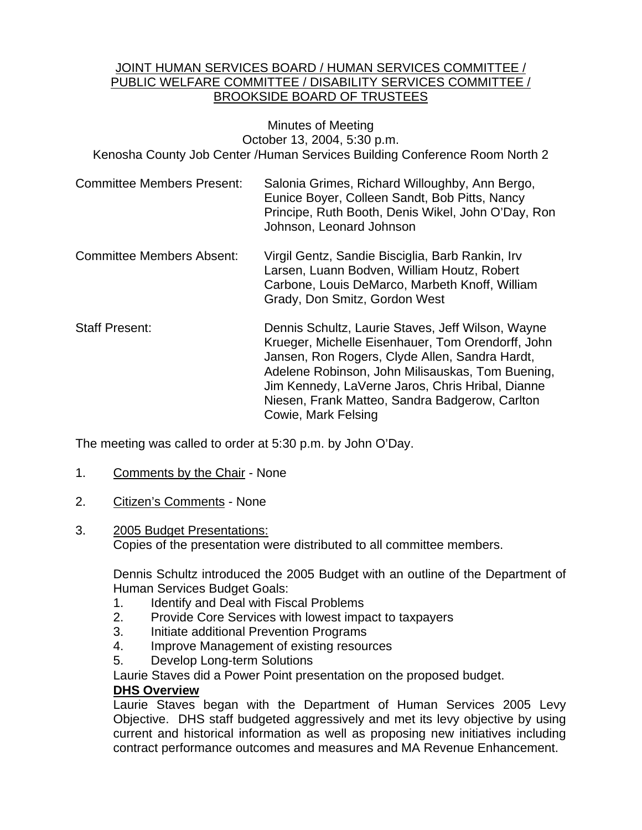### JOINT HUMAN SERVICES BOARD / HUMAN SERVICES COMMITTEE / PUBLIC WELFARE COMMITTEE / DISABILITY SERVICES COMMITTEE / BROOKSIDE BOARD OF TRUSTEES

Minutes of Meeting October 13, 2004, 5:30 p.m. Kenosha County Job Center /Human Services Building Conference Room North 2

- Committee Members Present: Salonia Grimes, Richard Willoughby, Ann Bergo, Eunice Boyer, Colleen Sandt, Bob Pitts, Nancy Principe, Ruth Booth, Denis Wikel, John O'Day, Ron Johnson, Leonard Johnson
- Committee Members Absent: Virgil Gentz, Sandie Bisciglia, Barb Rankin, Irv Larsen, Luann Bodven, William Houtz, Robert Carbone, Louis DeMarco, Marbeth Knoff, William Grady, Don Smitz, Gordon West
- Staff Present: Dennis Schultz, Laurie Staves, Jeff Wilson, Wayne Krueger, Michelle Eisenhauer, Tom Orendorff, John Jansen, Ron Rogers, Clyde Allen, Sandra Hardt, Adelene Robinson, John Milisauskas, Tom Buening, Jim Kennedy, LaVerne Jaros, Chris Hribal, Dianne Niesen, Frank Matteo, Sandra Badgerow, Carlton Cowie, Mark Felsing

The meeting was called to order at 5:30 p.m. by John O'Day.

- 1. Comments by the Chair None
- 2. Citizen's Comments None
- 3. 2005 Budget Presentations: Copies of the presentation were distributed to all committee members.

Dennis Schultz introduced the 2005 Budget with an outline of the Department of Human Services Budget Goals:

- 1. Identify and Deal with Fiscal Problems
- 2. Provide Core Services with lowest impact to taxpayers
- 3. Initiate additional Prevention Programs
- 4. Improve Management of existing resources
- 5. Develop Long-term Solutions

Laurie Staves did a Power Point presentation on the proposed budget.

## **DHS Overview**

Laurie Staves began with the Department of Human Services 2005 Levy Objective. DHS staff budgeted aggressively and met its levy objective by using current and historical information as well as proposing new initiatives including contract performance outcomes and measures and MA Revenue Enhancement.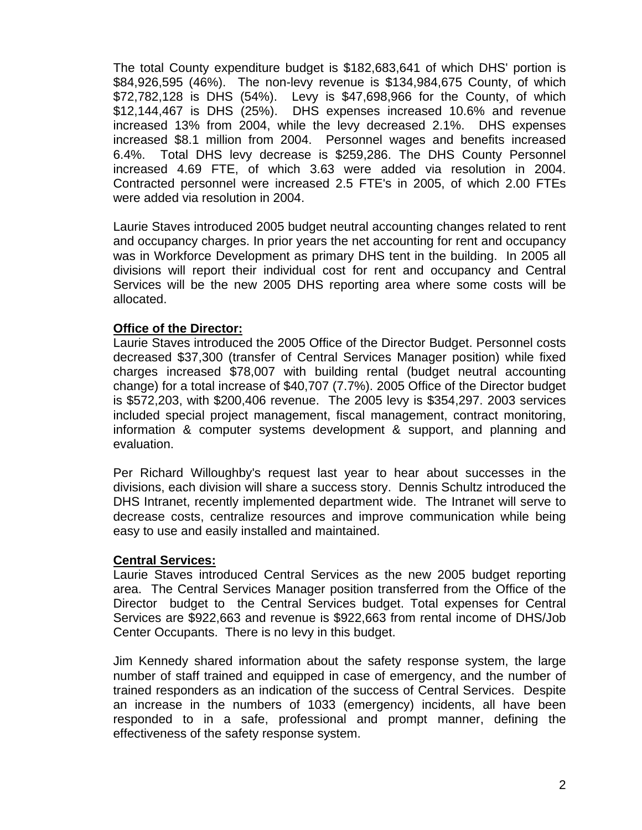The total County expenditure budget is \$182,683,641 of which DHS' portion is \$84,926,595 (46%). The non-levy revenue is \$134,984,675 County, of which \$72,782,128 is DHS (54%). Levy is \$47,698,966 for the County, of which \$12,144,467 is DHS (25%). DHS expenses increased 10.6% and revenue increased 13% from 2004, while the levy decreased 2.1%. DHS expenses increased \$8.1 million from 2004. Personnel wages and benefits increased 6.4%. Total DHS levy decrease is \$259,286. The DHS County Personnel increased 4.69 FTE, of which 3.63 were added via resolution in 2004. Contracted personnel were increased 2.5 FTE's in 2005, of which 2.00 FTEs were added via resolution in 2004.

Laurie Staves introduced 2005 budget neutral accounting changes related to rent and occupancy charges. In prior years the net accounting for rent and occupancy was in Workforce Development as primary DHS tent in the building. In 2005 all divisions will report their individual cost for rent and occupancy and Central Services will be the new 2005 DHS reporting area where some costs will be allocated.

## **Office of the Director:**

Laurie Staves introduced the 2005 Office of the Director Budget. Personnel costs decreased \$37,300 (transfer of Central Services Manager position) while fixed charges increased \$78,007 with building rental (budget neutral accounting change) for a total increase of \$40,707 (7.7%). 2005 Office of the Director budget is \$572,203, with \$200,406 revenue. The 2005 levy is \$354,297. 2003 services included special project management, fiscal management, contract monitoring, information & computer systems development & support, and planning and evaluation.

Per Richard Willoughby's request last year to hear about successes in the divisions, each division will share a success story. Dennis Schultz introduced the DHS Intranet, recently implemented department wide. The Intranet will serve to decrease costs, centralize resources and improve communication while being easy to use and easily installed and maintained.

#### **Central Services:**

Laurie Staves introduced Central Services as the new 2005 budget reporting area. The Central Services Manager position transferred from the Office of the Director budget to the Central Services budget. Total expenses for Central Services are \$922,663 and revenue is \$922,663 from rental income of DHS/Job Center Occupants. There is no levy in this budget.

Jim Kennedy shared information about the safety response system, the large number of staff trained and equipped in case of emergency, and the number of trained responders as an indication of the success of Central Services. Despite an increase in the numbers of 1033 (emergency) incidents, all have been responded to in a safe, professional and prompt manner, defining the effectiveness of the safety response system.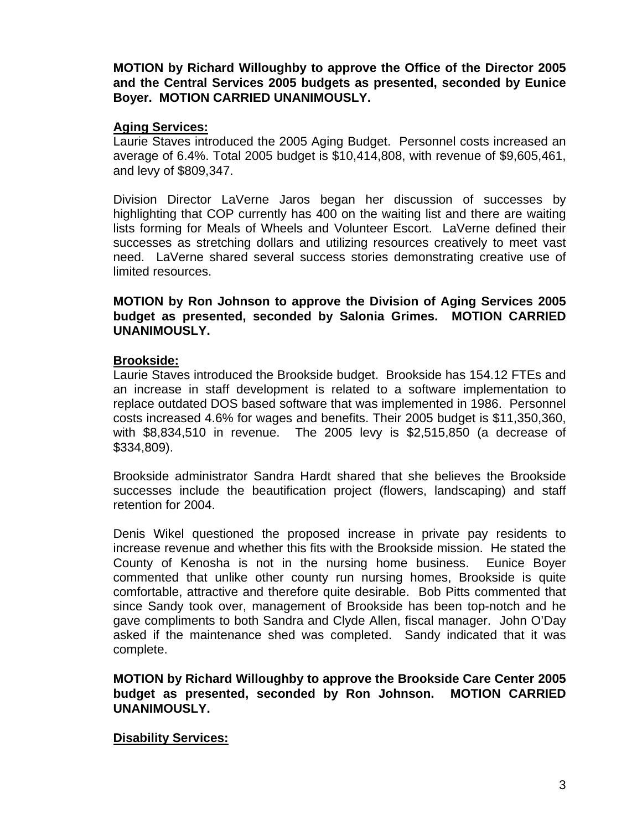**MOTION by Richard Willoughby to approve the Office of the Director 2005 and the Central Services 2005 budgets as presented, seconded by Eunice Boyer. MOTION CARRIED UNANIMOUSLY.**

## **Aging Services:**

Laurie Staves introduced the 2005 Aging Budget. Personnel costs increased an average of 6.4%. Total 2005 budget is \$10,414,808, with revenue of \$9,605,461, and levy of \$809,347.

Division Director LaVerne Jaros began her discussion of successes by highlighting that COP currently has 400 on the waiting list and there are waiting lists forming for Meals of Wheels and Volunteer Escort. LaVerne defined their successes as stretching dollars and utilizing resources creatively to meet vast need. LaVerne shared several success stories demonstrating creative use of limited resources.

**MOTION by Ron Johnson to approve the Division of Aging Services 2005 budget as presented, seconded by Salonia Grimes. MOTION CARRIED UNANIMOUSLY.**

### **Brookside:**

Laurie Staves introduced the Brookside budget. Brookside has 154.12 FTEs and an increase in staff development is related to a software implementation to replace outdated DOS based software that was implemented in 1986. Personnel costs increased 4.6% for wages and benefits. Their 2005 budget is \$11,350,360, with \$8,834,510 in revenue. The 2005 levy is \$2,515,850 (a decrease of \$334,809).

Brookside administrator Sandra Hardt shared that she believes the Brookside successes include the beautification project (flowers, landscaping) and staff retention for 2004.

Denis Wikel questioned the proposed increase in private pay residents to increase revenue and whether this fits with the Brookside mission. He stated the County of Kenosha is not in the nursing home business. Eunice Boyer commented that unlike other county run nursing homes, Brookside is quite comfortable, attractive and therefore quite desirable. Bob Pitts commented that since Sandy took over, management of Brookside has been top-notch and he gave compliments to both Sandra and Clyde Allen, fiscal manager. John O'Day asked if the maintenance shed was completed. Sandy indicated that it was complete.

**MOTION by Richard Willoughby to approve the Brookside Care Center 2005 budget as presented, seconded by Ron Johnson. MOTION CARRIED UNANIMOUSLY.**

#### **Disability Services:**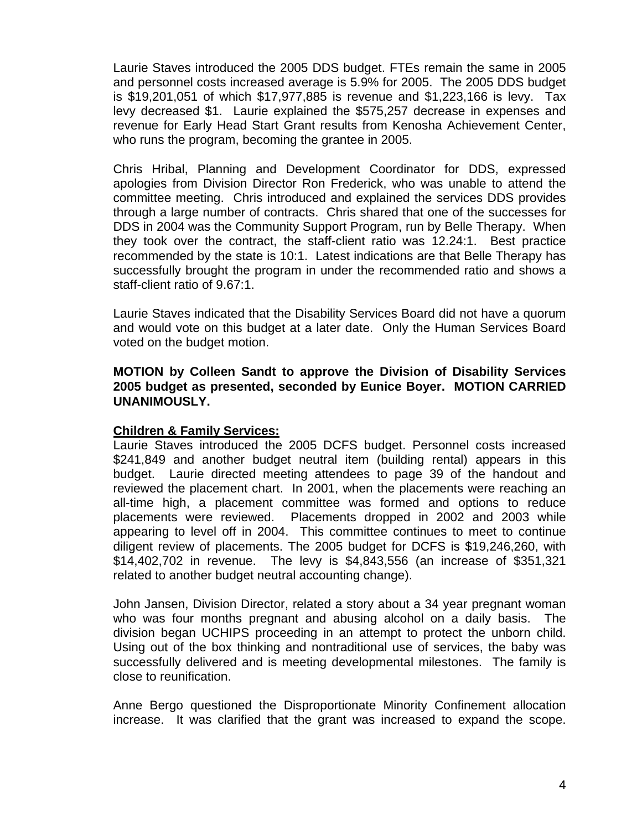Laurie Staves introduced the 2005 DDS budget. FTEs remain the same in 2005 and personnel costs increased average is 5.9% for 2005. The 2005 DDS budget is \$19,201,051 of which \$17,977,885 is revenue and \$1,223,166 is levy. Tax levy decreased \$1. Laurie explained the \$575,257 decrease in expenses and revenue for Early Head Start Grant results from Kenosha Achievement Center, who runs the program, becoming the grantee in 2005.

Chris Hribal, Planning and Development Coordinator for DDS, expressed apologies from Division Director Ron Frederick, who was unable to attend the committee meeting. Chris introduced and explained the services DDS provides through a large number of contracts. Chris shared that one of the successes for DDS in 2004 was the Community Support Program, run by Belle Therapy. When they took over the contract, the staff-client ratio was 12.24:1. Best practice recommended by the state is 10:1. Latest indications are that Belle Therapy has successfully brought the program in under the recommended ratio and shows a staff-client ratio of 9.67:1.

Laurie Staves indicated that the Disability Services Board did not have a quorum and would vote on this budget at a later date. Only the Human Services Board voted on the budget motion.

**MOTION by Colleen Sandt to approve the Division of Disability Services 2005 budget as presented, seconded by Eunice Boyer. MOTION CARRIED UNANIMOUSLY.**

## **Children & Family Services:**

Laurie Staves introduced the 2005 DCFS budget. Personnel costs increased \$241,849 and another budget neutral item (building rental) appears in this budget. Laurie directed meeting attendees to page 39 of the handout and reviewed the placement chart. In 2001, when the placements were reaching an all-time high, a placement committee was formed and options to reduce placements were reviewed. Placements dropped in 2002 and 2003 while appearing to level off in 2004. This committee continues to meet to continue diligent review of placements. The 2005 budget for DCFS is \$19,246,260, with \$14,402,702 in revenue. The levy is \$4,843,556 (an increase of \$351,321 related to another budget neutral accounting change).

John Jansen, Division Director, related a story about a 34 year pregnant woman who was four months pregnant and abusing alcohol on a daily basis. The division began UCHIPS proceeding in an attempt to protect the unborn child. Using out of the box thinking and nontraditional use of services, the baby was successfully delivered and is meeting developmental milestones. The family is close to reunification.

Anne Bergo questioned the Disproportionate Minority Confinement allocation increase. It was clarified that the grant was increased to expand the scope.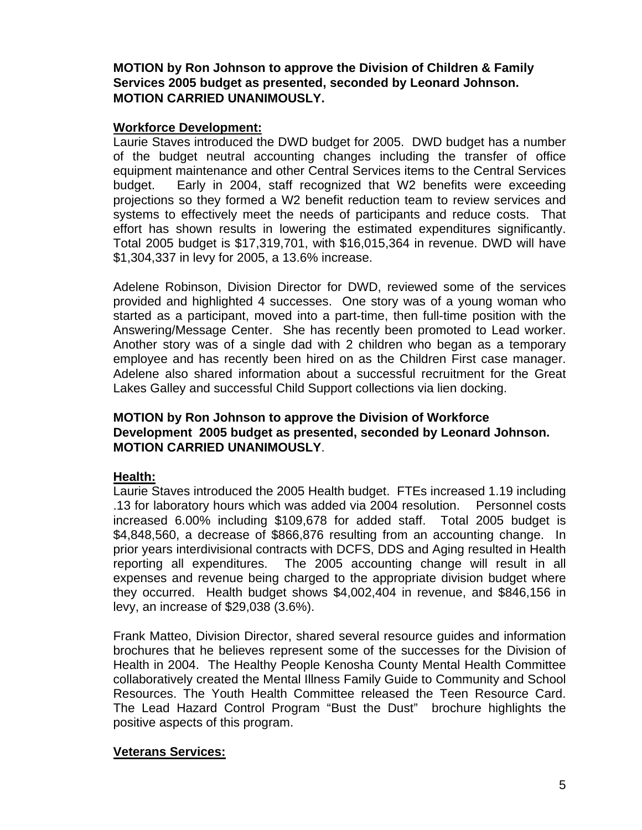**MOTION by Ron Johnson to approve the Division of Children & Family Services 2005 budget as presented, seconded by Leonard Johnson. MOTION CARRIED UNANIMOUSLY.**

## **Workforce Development:**

Laurie Staves introduced the DWD budget for 2005. DWD budget has a number of the budget neutral accounting changes including the transfer of office equipment maintenance and other Central Services items to the Central Services budget. Early in 2004, staff recognized that W2 benefits were exceeding projections so they formed a W2 benefit reduction team to review services and systems to effectively meet the needs of participants and reduce costs. That effort has shown results in lowering the estimated expenditures significantly. Total 2005 budget is \$17,319,701, with \$16,015,364 in revenue. DWD will have \$1,304,337 in levy for 2005, a 13.6% increase.

Adelene Robinson, Division Director for DWD, reviewed some of the services provided and highlighted 4 successes. One story was of a young woman who started as a participant, moved into a part-time, then full-time position with the Answering/Message Center. She has recently been promoted to Lead worker. Another story was of a single dad with 2 children who began as a temporary employee and has recently been hired on as the Children First case manager. Adelene also shared information about a successful recruitment for the Great Lakes Galley and successful Child Support collections via lien docking.

## **MOTION by Ron Johnson to approve the Division of Workforce Development 2005 budget as presented, seconded by Leonard Johnson. MOTION CARRIED UNANIMOUSLY**.

# **Health:**

Laurie Staves introduced the 2005 Health budget. FTEs increased 1.19 including .13 for laboratory hours which was added via 2004 resolution. Personnel costs increased 6.00% including \$109,678 for added staff. Total 2005 budget is \$4,848,560, a decrease of \$866,876 resulting from an accounting change. In prior years interdivisional contracts with DCFS, DDS and Aging resulted in Health reporting all expenditures. The 2005 accounting change will result in all expenses and revenue being charged to the appropriate division budget where they occurred. Health budget shows \$4,002,404 in revenue, and \$846,156 in levy, an increase of \$29,038 (3.6%).

Frank Matteo, Division Director, shared several resource guides and information brochures that he believes represent some of the successes for the Division of Health in 2004. The Healthy People Kenosha County Mental Health Committee collaboratively created the Mental Illness Family Guide to Community and School Resources. The Youth Health Committee released the Teen Resource Card. The Lead Hazard Control Program "Bust the Dust" brochure highlights the positive aspects of this program.

# **Veterans Services:**